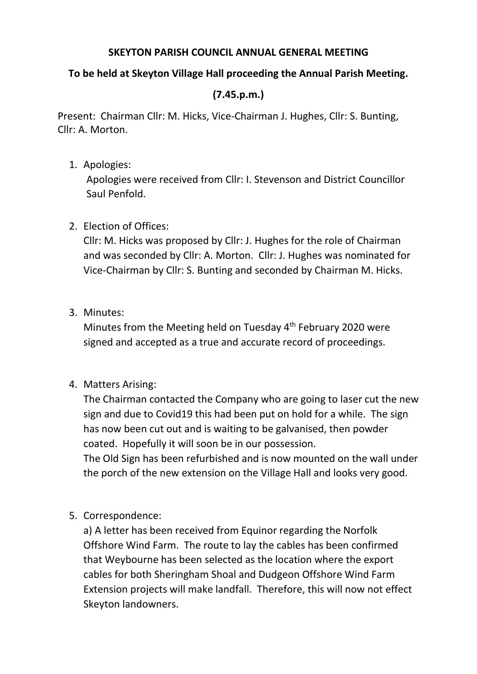#### **SKEYTON PARISH COUNCIL ANNUAL GENERAL MEETING**

### **To be held at Skeyton Village Hall proceeding the Annual Parish Meeting.**

# **(7.45.p.m.)**

Present: Chairman Cllr: M. Hicks, Vice-Chairman J. Hughes, Cllr: S. Bunting, Cllr: A. Morton.

1. Apologies:

Apologies were received from Cllr: I. Stevenson and District Councillor Saul Penfold.

## 2. Election of Offices:

Cllr: M. Hicks was proposed by Cllr: J. Hughes for the role of Chairman and was seconded by Cllr: A. Morton. Cllr: J. Hughes was nominated for Vice-Chairman by Cllr: S. Bunting and seconded by Chairman M. Hicks.

3. Minutes:

Minutes from the Meeting held on Tuesday 4<sup>th</sup> February 2020 were signed and accepted as a true and accurate record of proceedings.

### 4. Matters Arising:

The Chairman contacted the Company who are going to laser cut the new sign and due to Covid19 this had been put on hold for a while. The sign has now been cut out and is waiting to be galvanised, then powder coated. Hopefully it will soon be in our possession.

The Old Sign has been refurbished and is now mounted on the wall under the porch of the new extension on the Village Hall and looks very good.

5. Correspondence:

a) A letter has been received from Equinor regarding the Norfolk Offshore Wind Farm. The route to lay the cables has been confirmed that Weybourne has been selected as the location where the export cables for both Sheringham Shoal and Dudgeon Offshore Wind Farm Extension projects will make landfall. Therefore, this will now not effect Skeyton landowners.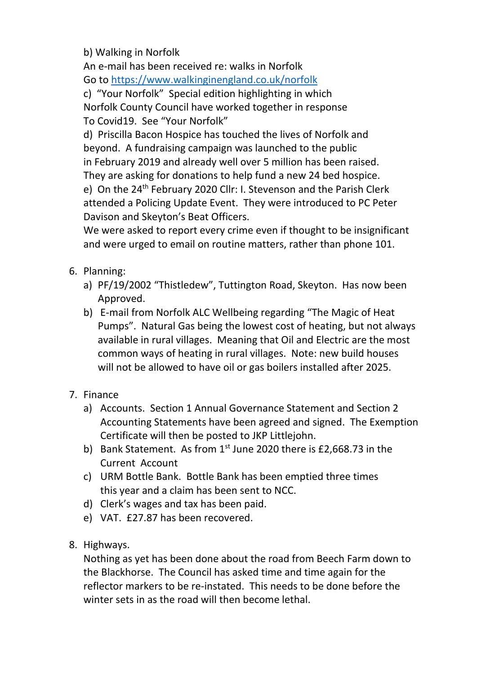b) Walking in Norfolk

An e-mail has been received re: walks in Norfolk Go to<https://www.walkinginengland.co.uk/norfolk>

c) "Your Norfolk" Special edition highlighting in which Norfolk County Council have worked together in response To Covid19. See "Your Norfolk"

d) Priscilla Bacon Hospice has touched the lives of Norfolk and beyond. A fundraising campaign was launched to the public in February 2019 and already well over 5 million has been raised. They are asking for donations to help fund a new 24 bed hospice. e) On the 24<sup>th</sup> February 2020 Cllr: I. Stevenson and the Parish Clerk attended a Policing Update Event. They were introduced to PC Peter Davison and Skeyton's Beat Officers.

We were asked to report every crime even if thought to be insignificant and were urged to email on routine matters, rather than phone 101.

- 6. Planning:
	- a) PF/19/2002 "Thistledew", Tuttington Road, Skeyton. Has now been Approved.
	- b) E-mail from Norfolk ALC Wellbeing regarding "The Magic of Heat Pumps". Natural Gas being the lowest cost of heating, but not always available in rural villages. Meaning that Oil and Electric are the most common ways of heating in rural villages. Note: new build houses will not be allowed to have oil or gas boilers installed after 2025.
- 7. Finance
	- a) Accounts. Section 1 Annual Governance Statement and Section 2 Accounting Statements have been agreed and signed. The Exemption Certificate will then be posted to JKP Littlejohn.
	- b) Bank Statement. As from  $1<sup>st</sup>$  June 2020 there is £2,668.73 in the Current Account
	- c) URM Bottle Bank. Bottle Bank has been emptied three times this year and a claim has been sent to NCC.
	- d) Clerk's wages and tax has been paid.
	- e) VAT. £27.87 has been recovered.
- 8. Highways.

Nothing as yet has been done about the road from Beech Farm down to the Blackhorse. The Council has asked time and time again for the reflector markers to be re-instated. This needs to be done before the winter sets in as the road will then become lethal.